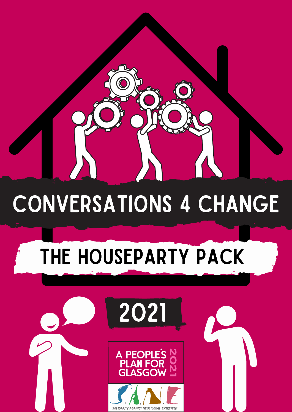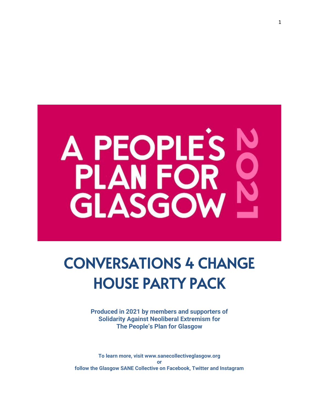

# CONVERSATIONS 4 CHANGE HOUSE PARTY PACK

**Produced in 2021 by members and supporters of Solidarity Against Neoliberal Extremism for The People's Plan for Glasgow**

**To learn more, visit www.sanecollectiveglasgow.org or follow the Glasgow SANE Collective on Facebook, Twitter and Instagram**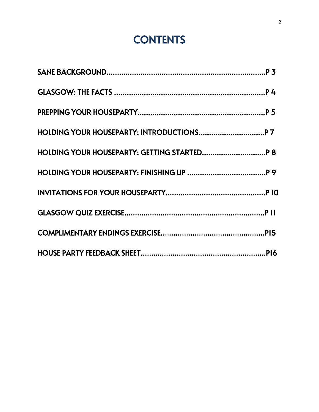# **CONTENTS**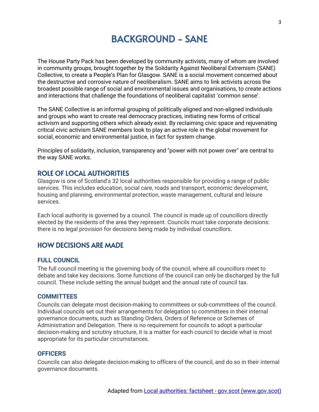# BACKGROUND - SANE

The House Party Pack has been developed by community activists, many of whom are involved in community groups, brought together by the Solidarity Against Neoliberal Extremism (SANE) Collective, to create a People's Plan for Glasgow. SANE is a social movement concerned about the destructive and corrosive nature of neoliberalism. SANE aims to link activists across the broadest possible range of social and environmental issues and organisations, to create actions and interactions that challenge the foundations of neoliberal capitalist 'common sense'.

The SANE Collective is an informal grouping of politically aligned and non-aligned individuals and groups who want to create real democracy practices, initiating new forms of critical activism and supporting others which already exist. By reclaiming civic space and rejuvenating critical civic activism SANE members look to play an active role in the global movement for social, economic and environmental justice, in fact for system change.

Principles of solidarity, inclusion, transparency and "power with not power over" are central to the way SANE works.

# ROLE OF LOCAL AUTHORITIES

Glasgow is one of Scotland's 32 local authorities responsible for providing a range of public services. This includes education, social care, roads and transport, economic development, housing and planning, environmental protection, waste management, cultural and leisure services.

Each local authority is governed by a council. The council is made up of councillors directly elected by the residents of the area they represent. Councils must take corporate decisions: there is no legal provision for decisions being made by individual councillors.

# HOW DECISIONS ARE MADE

#### **FULL COUNCIL**

The full council meeting is the governing body of the council, where all councillors meet to debate and take key decisions. Some functions of the council can only be discharged by the full council. These include setting the annual budget and the annual rate of council tax.

#### **COMMITTEES**

Councils can delegate most decision-making to committees or sub-committees of the council. Individual councils set out their arrangements for delegation to committees in their internal governance documents, such as Standing Orders, Orders of Reference or Schemes of Administration and Delegation. There is no requirement for councils to adopt a particular decision-making and scrutiny structure, it is a matter for each council to decide what is most appropriate for its particular circumstances.

#### **OFFICERS**

Councils can also delegate decision-making to officers of the council, and do so in their internal governance documents.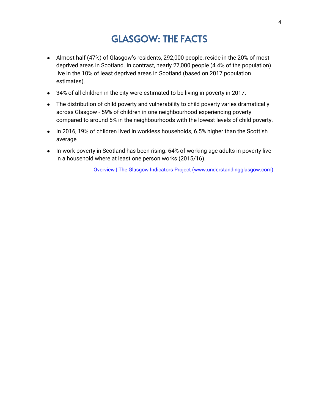# GLASGOW: THE FACTS

- Almost half (47%) of Glasgow's residents, 292,000 people, reside in the 20% of most deprived areas in Scotland. In contrast, nearly 27,000 people (4.4% of the population) live in the 10% of least deprived areas in Scotland (based on 2017 population estimates).
- 34% of all children in the city were estimated to be living in poverty in 2017.
- The distribution of child poverty and vulnerability to child poverty varies dramatically across Glasgow - 59% of children in one neighbourhood experiencing poverty compared to around 5% in the neighbourhoods with the lowest levels of child poverty.
- In 2016, 19% of children lived in workless households, 6.5% higher than the Scottish average
- In-work poverty in Scotland has been rising. 64% of working age adults in poverty live in a household where at least one person works (2015/16).

Overview | The Glasgow Indicators Project (www.understandingglasgow.com)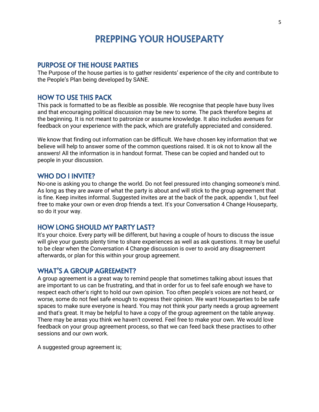# PREPPING YOUR HOUSEPARTY

#### PURPOSE OF THE HOUSE PARTIES

The Purpose of the house parties is to gather residents' experience of the city and contribute to the People's Plan being developed by SANE.

### HOW TO USE THIS PACK

This pack is formatted to be as flexible as possible. We recognise that people have busy lives and that encouraging political discussion may be new to some. The pack therefore begins at the beginning. It is not meant to patronize or assume knowledge. It also includes avenues for feedback on your experience with the pack, which are gratefully appreciated and considered.

We know that finding out information can be difficult. We have chosen key information that we believe will help to answer some of the common questions raised. It is ok not to know all the answers! All the information is in handout format. These can be copied and handed out to people in your discussion.

## WHO DO I INVITE?

No-one is asking you to change the world. Do not feel pressured into changing someone's mind. As long as they are aware of what the party is about and will stick to the group agreement that is fine. Keep invites informal. Suggested invites are at the back of the pack, appendix 1, but feel free to make your own or even drop friends a text. It's your Conversation 4 Change Houseparty, so do it your way.

## HOW LONG SHOULD MY PARTY LAST?

It's your choice. Every party will be different, but having a couple of hours to discuss the issue will give your guests plenty time to share experiences as well as ask questions. It may be useful to be clear when the Conversation 4 Change discussion is over to avoid any disagreement afterwards, or plan for this within your group agreement.

#### WHAT'S A GROUP AGREEMENT?

A group agreement is a great way to remind people that sometimes talking about issues that are important to us can be frustrating, and that in order for us to feel safe enough we have to respect each other's right to hold our own opinion. Too often people's voices are not heard, or worse, some do not feel safe enough to express their opinion. We want Houseparties to be safe spaces to make sure everyone is heard. You may not think your party needs a group agreement and that's great. It may be helpful to have a copy of the group agreement on the table anyway. There may be areas you think we haven't covered. Feel free to make your own. We would love feedback on your group agreement process, so that we can feed back these practises to other sessions and our own work.

A suggested group agreement is;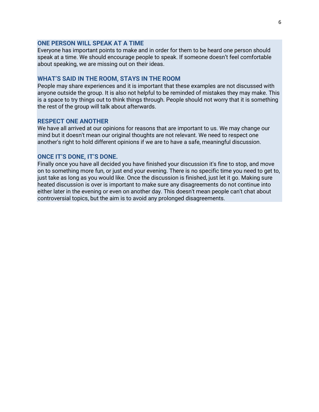#### **ONE PERSON WILL SPEAK AT A TIME**

Everyone has important points to make and in order for them to be heard one person should speak at a time. We should encourage people to speak. If someone doesn't feel comfortable about speaking, we are missing out on their ideas.

#### **WHAT'S SAID IN THE ROOM, STAYS IN THE ROOM**

People may share experiences and it is important that these examples are not discussed with anyone outside the group. It is also not helpful to be reminded of mistakes they may make. This is a space to try things out to think things through. People should not worry that it is something the rest of the group will talk about afterwards.

#### **RESPECT ONE ANOTHER**

We have all arrived at our opinions for reasons that are important to us. We may change our mind but it doesn't mean our original thoughts are not relevant. We need to respect one another's right to hold different opinions if we are to have a safe, meaningful discussion.

#### **ONCE IT'S DONE, IT'S DONE.**

Finally once you have all decided you have finished your discussion it's fine to stop, and move on to something more fun, or just end your evening. There is no specific time you need to get to, just take as long as you would like. Once the discussion is finished, just let it go. Making sure heated discussion is over is important to make sure any disagreements do not continue into either later in the evening or even on another day. This doesn't mean people can't chat about controversial topics, but the aim is to avoid any prolonged disagreements.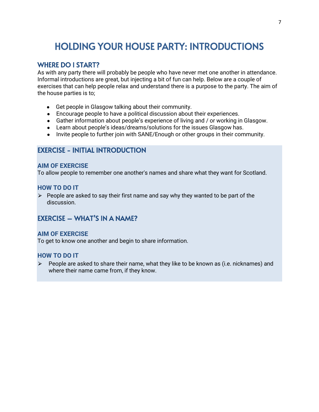# HOLDING YOUR HOUSE PARTY: INTRODUCTIONS

# WHERE DO I START?

As with any party there will probably be people who have never met one another in attendance. Informal introductions are great, but injecting a bit of fun can help. Below are a couple of exercises that can help people relax and understand there is a purpose to the party. The aim of the house parties is to;

- Get people in Glasgow talking about their community.
- Encourage people to have a political discussion about their experiences.
- Gather information about people's experience of living and / or working in Glasgow.
- Learn about people's ideas/dreams/solutions for the issues Glasgow has.
- Invite people to further join with SANE/Enough or other groups in their community.

# EXERCISE - INITIAL INTRODUCTION

#### **AIM OF EXERCISE**

To allow people to remember one another's names and share what they want for Scotland.

#### **HOW TO DO IT**

 $\triangleright$  People are asked to say their first name and say why they wanted to be part of the discussion.

# EXERCISE – WHAT'S IN A NAME?

#### **AIM OF EXERCISE**

To get to know one another and begin to share information.

#### **HOW TO DO IT**

 $\triangleright$  People are asked to share their name, what they like to be known as (i.e. nicknames) and where their name came from, if they know.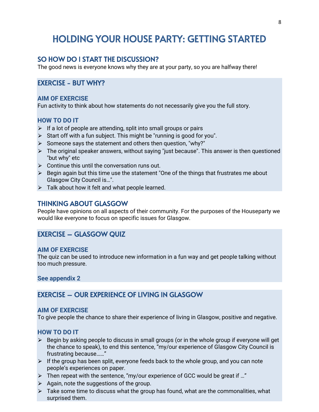# HOLDING YOUR HOUSE PARTY: GETTING STARTED

# SO HOW DO I START THE DISCUSSION?

The good news is everyone knows why they are at your party, so you are halfway there!

# EXERCISE - BUT WHY?

#### **AIM OF EXERCISE**

Fun activity to think about how statements do not necessarily give you the full story.

#### **HOW TO DO IT**

- $\triangleright$  If a lot of people are attending, split into small groups or pairs
- $\triangleright$  Start off with a fun subject. This might be "running is good for you".
- $\triangleright$  Someone says the statement and others then question, "why?"
- $\triangleright$  The original speaker answers, without saying "just because". This answer is then questioned "but why" etc
- $\triangleright$  Continue this until the conversation runs out.
- $\triangleright$  Begin again but this time use the statement "One of the things that frustrates me about Glasgow City Council is…".
- $\triangleright$  Talk about how it felt and what people learned.

### THINKING ABOUT GLASGOW

People have opinions on all aspects of their community. For the purposes of the Houseparty we would like everyone to focus on specific issues for Glasgow.

# EXERCISE – GLASGOW QUIZ

#### **AIM OF EXERCISE**

The quiz can be used to introduce new information in a fun way and get people talking without too much pressure.

**See appendix 2**

# EXERCISE – OUR EXPERIENCE OF LIVING IN GLASGOW

#### **AIM OF EXERCISE**

To give people the chance to share their experience of living in Glasgow, positive and negative.

# **HOW TO DO IT**

- $\triangleright$  Begin by asking people to discuss in small groups (or in the whole group if everyone will get the chance to speak), to end this sentence, "my/our experience of Glasgow City Council is frustrating because……"
- $\triangleright$  If the group has been split, everyone feeds back to the whole group, and you can note people's experiences on paper.
- $\triangleright$  Then repeat with the sentence, "my/our experience of GCC would be great if ..."
- $\triangleright$  Again, note the suggestions of the group.
- $\triangleright$  Take some time to discuss what the group has found, what are the commonalities, what surprised them.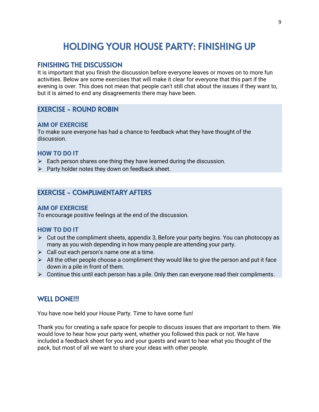# HOLDING YOUR HOUSE PARTY: FINISHING UP

# FINISHING THE DISCUSSION

It is important that you finish the discussion before everyone leaves or moves on to more fun activities. Below are some exercises that will make it clear for everyone that this part if the evening is over. This does not mean that people can't still chat about the issues if they want to, but it is aimed to end any disagreements there may have been.

# EXERCISE - ROUND ROBIN

#### **AIM OF EXERCISE**

To make sure everyone has had a chance to feedback what they have thought of the discussion.

# **HOW TO DO IT**

- $\triangleright$  Each person shares one thing they have learned during the discussion.
- $\triangleright$  Party holder notes they down on feedback sheet.

# EXERCISE - COMPLIMENTARY AFTERS

#### **AIM OF EXERCISE**

To encourage positive feelings at the end of the discussion.

# **HOW TO DO IT**

- $\triangleright$  Cut out the compliment sheets, appendix 3, Before your party begins. You can photocopy as many as you wish depending in how many people are attending your party.
- $\triangleright$  Call out each person's name one at a time.
- $\triangleright$  All the other people choose a compliment they would like to give the person and put it face down in a pile in front of them.
- $\triangleright$  Continue this until each person has a pile. Only then can everyone read their compliments.

# WELL DONE!!!

You have now held your House Party. Time to have some fun!

Thank you for creating a safe space for people to discuss issues that are important to them. We would love to hear how your party went, whether you followed this pack or not. We have included a feedback sheet for you and your guests and want to hear what you thought of the pack, but most of all we want to share your ideas with other people.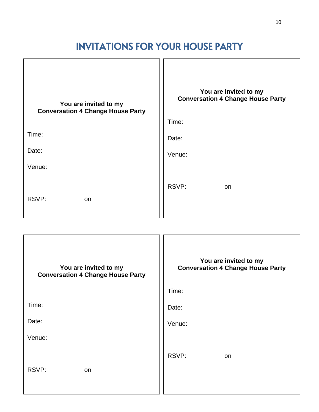# INVITATIONS FOR YOUR HOUSE PARTY

| You are invited to my<br><b>Conversation 4 Change House Party</b> | You are invited to my<br><b>Conversation 4 Change House Party</b><br>Time: |
|-------------------------------------------------------------------|----------------------------------------------------------------------------|
| Time:                                                             |                                                                            |
|                                                                   | Date:                                                                      |
| Date:                                                             | Venue:                                                                     |
| Venue:                                                            |                                                                            |
| RSVP:<br>on                                                       | RSVP:<br>on                                                                |

| You are invited to my<br><b>Conversation 4 Change House Party</b> | You are invited to my<br><b>Conversation 4 Change House Party</b><br>Time: |
|-------------------------------------------------------------------|----------------------------------------------------------------------------|
| Time:                                                             | Date:                                                                      |
| Date:                                                             | Venue:                                                                     |
| Venue:                                                            |                                                                            |
| RSVP:<br>on                                                       | RSVP:<br>on                                                                |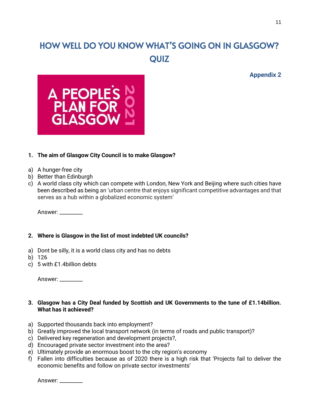# HOW WELL DO YOU KNOW WHAT'S GOING ON IN GLASGOW? **QUIZ**

**Appendix 2**



# **1. The aim of Glasgow City Council is to make Glasgow?**

- a) A hunger-free city
- b) Better than Edinburgh
- c) A world class city which can compete with London, New York and Beijing where such cities have been described as being an 'urban centre that enjoys significant competitive advantages and that serves as a hub within a globalized economic system'

Answer: \_\_\_\_\_\_\_\_\_

#### **2. Where is Glasgow in the list of most indebted UK councils?**

- a) Dont be silly, it is a world class city and has no debts
- b) 126
- c) 5 with £1.4billion debts

| Answer: |  |
|---------|--|
|---------|--|

#### **3. Glasgow has a City Deal funded by Scottish and UK Governments to the tune of £1.14billion. What has it achieved?**

- a) Supported thousands back into employment?
- b) Greatly improved the local transport network (in terms of roads and public transport)?
- c) Delivered key regeneration and development projects?,
- d) Encouraged private sector investment into the area?
- e) Ultimately provide an enormous boost to the city region's economy
- f) Fallen into difficulties because as of 2020 there is a high risk that 'Projects fail to deliver the economic benefits and follow on private sector investments'

Answer: \_\_\_\_\_\_\_\_\_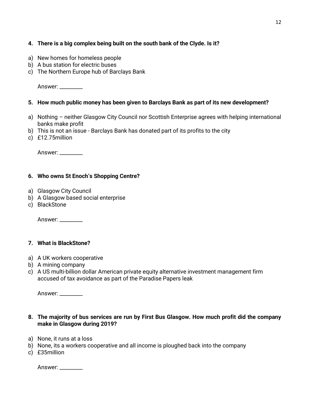# **4. There is a big complex being built on the south bank of the Clyde. Is it?**

- a) New homes for homeless people
- b) A bus station for electric buses
- c) The Northern Europe hub of Barclays Bank

Answer: \_\_\_\_\_\_\_\_\_

#### **5. How much public money has been given to Barclays Bank as part of its new development?**

- a) Nothing neither Glasgow City Council nor Scottish Enterprise agrees with helping international banks make profit
- b) This is not an issue Barclays Bank has donated part of its profits to the city
- c) £12.75million

Answer: \_\_\_\_\_\_\_\_\_

#### **6. Who owns St Enoch's Shopping Centre?**

- a) Glasgow City Council
- b) A Glasgow based social enterprise
- c) BlackStone

Answer: \_\_\_\_\_\_\_\_\_

# **7. What is BlackStone?**

- a) A UK workers cooperative
- b) A mining company
- c) A US multi-billion dollar American private equity alternative investment management firm accused of tax avoidance as part of the Paradise Papers leak

Answer: \_\_\_\_\_\_\_\_\_

- **8. The majority of bus services are run by First Bus Glasgow. How much profit did the company make in Glasgow during 2019?**
- a) None, it runs at a loss
- b) None, its a workers cooperative and all income is ploughed back into the company
- c) £35million

Answer: \_\_\_\_\_\_\_\_\_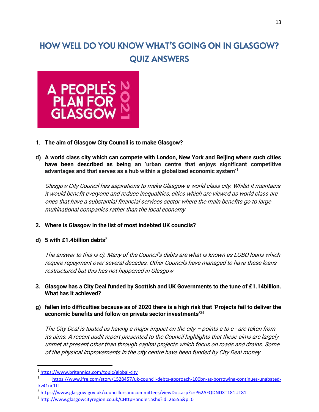# HOW WELL DO YOU KNOW WHAT'S GOING ON IN GLASGOW? QUIZ ANSWERS



- **1. The aim of Glasgow City Council is to make Glasgow?**
- **d) A world class city which can compete with London, New York and Beijing where such cities have been described as being an 'urban centre that enjoys significant competitive advantages and that serves as a hub within a globalized economic system'**<sup>1</sup>

Glasgow City Council has aspirations to make Glasgow a world class city. Whilst it maintains it would benefit everyone and reduce inequalities, cities which are viewed as world class are ones that have a substantial financial services sector where the main benefits go to large multinational companies rather than the local economy

- **2. Where is Glasgow in the list of most indebted UK councils?**
- **d) 5 with £1.4billion debts**<sup>2</sup>

The answer to this is c). Many of the Council's debts are what is known as LOBO loans which require repayment over several decades. Other Councils have managed to have these loans restructured but this has not happened in Glasgow

- **3. Glasgow has a City Deal funded by Scottish and UK Governments to the tune of £1.14billion. What has it achieved?**
- **g) fallen into difficulties because as of 2020 there is a high risk that 'Projects fail to deliver the economic benefits and follow on private sector investments'**<sup>34</sup>

The City Deal is touted as having a major impact on the city  $-$  points a to  $e$  - are taken from its aims. A recent audit report presented to the Council highlights that these aims are largely unmet at present other than through capital projects which focus on roads and drains. Some of the physical improvements in the city centre have been funded by City Deal money

<sup>1</sup> <https://www.britannica.com/topic/global-city>

<sup>2</sup> [https://www.ifre.com/story/1528457/uk-council-debts-approach-100bn-as-borrowing-continues-unabated](https://www.ifre.com/story/1528457/uk-council-debts-approach-100bn-as-borrowing-continues-unabated-lrv41nc1tf)[lrv41nc1tf](https://www.ifre.com/story/1528457/uk-council-debts-approach-100bn-as-borrowing-continues-unabated-lrv41nc1tf)

<sup>3</sup> <https://www.glasgow.gov.uk/councillorsandcommittees/viewDoc.asp?c=P62AFQDNDXT181UT81>

<sup>4</sup> <http://www.glasgowcityregion.co.uk/CHttpHandler.ashx?id=26555&p=0>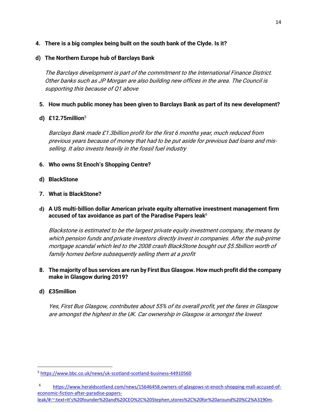**4. There is a big complex being built on the south bank of the Clyde. Is it?**

# **d) The Northern Europe hub of Barclays Bank**

The Barclays development is part of the commitment to the International Finance District. Other banks such as JP Morgan are also building new offices in the area. The Council is supporting this because of Q1 above

# **5. How much public money has been given to Barclays Bank as part of its new development?**

# **d) £12.75million**<sup>5</sup>

Barclays Bank made £1.3billion profit for the first 6 months year, much reduced from previous years because of money that had to be put aside for previous bad loans and misselling. It also invests heavily in the fossil fuel industry

# **6. Who owns St Enoch's Shopping Centre?**

**d) BlackStone**

# **7. What is BlackStone?**

**d) A US multi-billion dollar American private equity alternative investment management firm accused of tax avoidance as part of the Paradise Papers leak**<sup>6</sup>

Blackstone is estimated to be the largest private equity investment company, the means by which pension funds and private investors directly invest in companies. After the sub-prime mortgage scandal which led to the 2008 crash BlackStone bought out \$5.5billion worth of family homes before subsequently selling them at a profit

# **8. The majority of bus services are run by First Bus Glasgow. How much profit did the company make in Glasgow during 2019?**

# **d) £35million**

Yes, First Bus Glasgow, contributes about 55% of its overall profit, yet the fares in Glasgow are amongst the highest in the UK. Car ownership in Glasgow is amongst the lowest

<sup>5</sup> <https://www.bbc.co.uk/news/uk-scotland-scotland-business-44910560>

<sup>6</sup> [https://www.heraldscotland.com/news/15646458.owners-of-glasgows-st-enoch-shopping-mall-accused-of](https://www.heraldscotland.com/news/15646458.owners-of-glasgows-st-enoch-shopping-mall-accused-of-economic-fiction-after-paradise-papers-leak/#:~:text=It)[economic-fiction-after-paradise-papers-](https://www.heraldscotland.com/news/15646458.owners-of-glasgows-st-enoch-shopping-mall-accused-of-economic-fiction-after-paradise-papers-leak/#:~:text=It)

[leak/#:~:text=It's%20founder%20and%20CEO%2C%20Stephen,stores%2C%20for%20around%20%C2%A3190m.](https://www.heraldscotland.com/news/15646458.owners-of-glasgows-st-enoch-shopping-mall-accused-of-economic-fiction-after-paradise-papers-leak/#:~:text=It)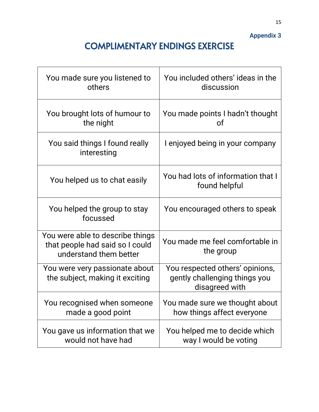**Appendix 3**

# COMPLIMENTARY ENDINGS EXERCISE

| You made sure you listened to<br>others                                                       | You included others' ideas in the<br>discussion                                    |  |
|-----------------------------------------------------------------------------------------------|------------------------------------------------------------------------------------|--|
| You brought lots of humour to<br>the night                                                    | You made points I hadn't thought<br>οf                                             |  |
| You said things I found really<br>interesting                                                 | I enjoyed being in your company                                                    |  |
| You helped us to chat easily                                                                  | You had lots of information that I<br>found helpful                                |  |
| You helped the group to stay<br>focussed                                                      | You encouraged others to speak                                                     |  |
| You were able to describe things<br>that people had said so I could<br>understand them better | You made me feel comfortable in<br>the group                                       |  |
| You were very passionate about<br>the subject, making it exciting                             | You respected others' opinions,<br>gently challenging things you<br>disagreed with |  |
| You recognised when someone<br>made a good point                                              | You made sure we thought about<br>how things affect everyone                       |  |
| You gave us information that we<br>would not have had                                         | You helped me to decide which<br>way I would be voting                             |  |